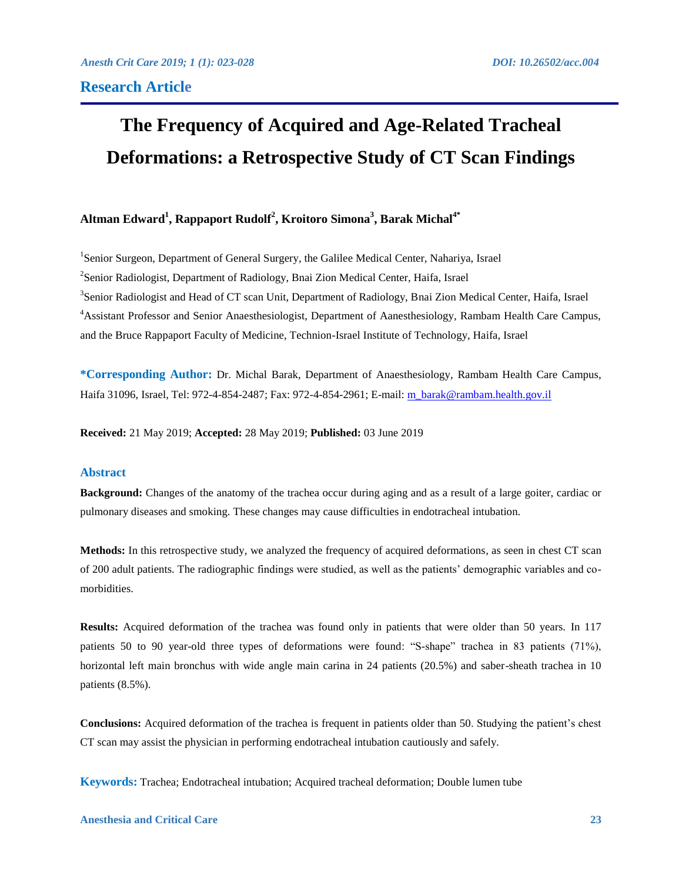# **The Frequency of Acquired and Age-Related Tracheal Deformations: a Retrospective Study of CT Scan Findings**

# **Altman Edward<sup>1</sup> , Rappaport Rudolf<sup>2</sup> , Kroitoro Simona<sup>3</sup> , Barak Michal4\***

<sup>1</sup>Senior Surgeon, Department of General Surgery, the Galilee Medical Center, Nahariya, Israel <sup>2</sup> Senior Radiologist, Department of Radiology, Bnai Zion Medical Center, Haifa, Israel <sup>3</sup>Senior Radiologist and Head of CT scan Unit, Department of Radiology, Bnai Zion Medical Center, Haifa, Israel <sup>4</sup>Assistant Professor and Senior Anaesthesiologist, Department of Aanesthesiology, Rambam Health Care Campus, and the Bruce Rappaport Faculty of Medicine, Technion-Israel Institute of Technology, Haifa, Israel

**\*Corresponding Author:** Dr. Michal Barak, Department of Anaesthesiology, Rambam Health Care Campus, Haifa 31096, Israel, Tel: 972-4-854-2487; Fax: 972-4-854-2961; E-mail: [m\\_barak@rambam.health.gov.il](mailto:m_barak@rambam.health.gov.il)

**Received:** 21 May 2019; **Accepted:** 28 May 2019; **Published:** 03 June 2019

#### **Abstract**

**Background:** Changes of the anatomy of the trachea occur during aging and as a result of a large goiter, cardiac or pulmonary diseases and smoking. These changes may cause difficulties in endotracheal intubation.

**Methods:** In this retrospective study, we analyzed the frequency of acquired deformations, as seen in chest CT scan of 200 adult patients. The radiographic findings were studied, as well as the patients' demographic variables and comorbidities.

**Results:** Acquired deformation of the trachea was found only in patients that were older than 50 years. In 117 patients 50 to 90 year-old three types of deformations were found: "S-shape" trachea in 83 patients (71%), horizontal left main bronchus with wide angle main carina in 24 patients (20.5%) and saber-sheath trachea in 10 patients (8.5%).

**Conclusions:** Acquired deformation of the trachea is frequent in patients older than 50. Studying the patient's chest CT scan may assist the physician in performing endotracheal intubation cautiously and safely.

**Keywords:** Trachea; Endotracheal intubation; Acquired tracheal deformation; Double lumen tube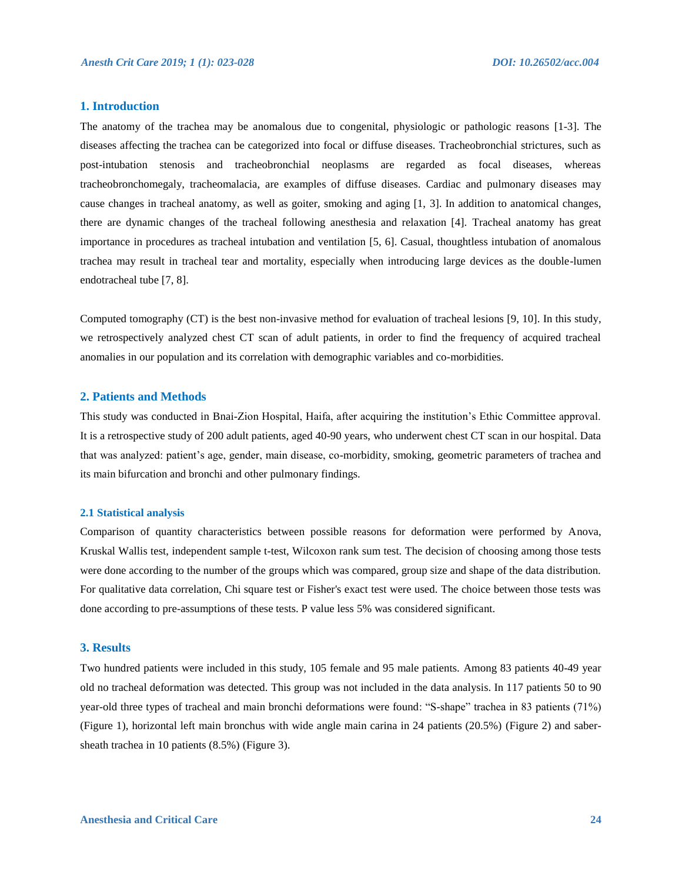### **1. Introduction**

The anatomy of the trachea may be anomalous due to congenital, physiologic or pathologic reasons [1-3]. The diseases affecting the trachea can be categorized into focal or diffuse diseases. Tracheobronchial strictures, such as post-intubation stenosis and tracheobronchial neoplasms are regarded as focal diseases, whereas tracheobronchomegaly, tracheomalacia, are examples of diffuse diseases. Cardiac and pulmonary diseases may cause changes in tracheal anatomy, as well as goiter, smoking and aging [1, 3]. In addition to anatomical changes, there are dynamic changes of the tracheal following anesthesia and relaxation [4]. Tracheal anatomy has great importance in procedures as tracheal intubation and ventilation [5, 6]. Casual, thoughtless intubation of anomalous trachea may result in tracheal tear and mortality, especially when introducing large devices as the double-lumen endotracheal tube [7, 8].

Computed tomography (CT) is the best non-invasive method for evaluation of tracheal lesions [9, 10]. In this study, we retrospectively analyzed chest CT scan of adult patients, in order to find the frequency of acquired tracheal anomalies in our population and its correlation with demographic variables and co-morbidities.

#### **2. Patients and Methods**

This study was conducted in Bnai-Zion Hospital, Haifa, after acquiring the institution's Ethic Committee approval. It is a retrospective study of 200 adult patients, aged 40-90 years, who underwent chest CT scan in our hospital. Data that was analyzed: patient's age, gender, main disease, co-morbidity, smoking, geometric parameters of trachea and its main bifurcation and bronchi and other pulmonary findings.

#### **2.1 Statistical analysis**

Comparison of quantity characteristics between possible reasons for deformation were performed by Anova, Kruskal Wallis test, independent sample t-test, Wilcoxon rank sum test. The decision of choosing among those tests were done according to the number of the groups which was compared, group size and shape of the data distribution. For qualitative data correlation, Chi square test or Fisher's exact test were used. The choice between those tests was done according to pre-assumptions of these tests. P value less 5% was considered significant.

#### **3. Results**

Two hundred patients were included in this study, 105 female and 95 male patients. Among 83 patients 40-49 year old no tracheal deformation was detected. This group was not included in the data analysis. In 117 patients 50 to 90 year-old three types of tracheal and main bronchi deformations were found: "S-shape" trachea in 83 patients (71%) (Figure 1), horizontal left main bronchus with wide angle main carina in 24 patients (20.5%) (Figure 2) and sabersheath trachea in 10 patients (8.5%) (Figure 3).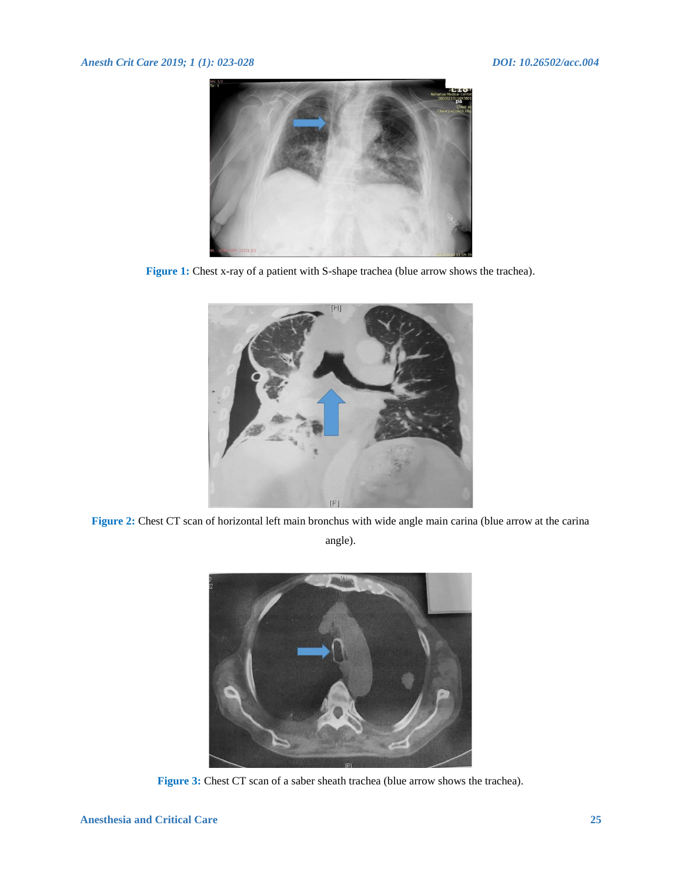## *Anesth Crit Care 2019; 1 (1): 023-028 DOI: 10.26502/acc.004*



Figure 1: Chest x-ray of a patient with S-shape trachea (blue arrow shows the trachea).



**Figure 2:** Chest CT scan of horizontal left main bronchus with wide angle main carina (blue arrow at the carina

angle).



**Figure 3:** Chest CT scan of a saber sheath trachea (blue arrow shows the trachea).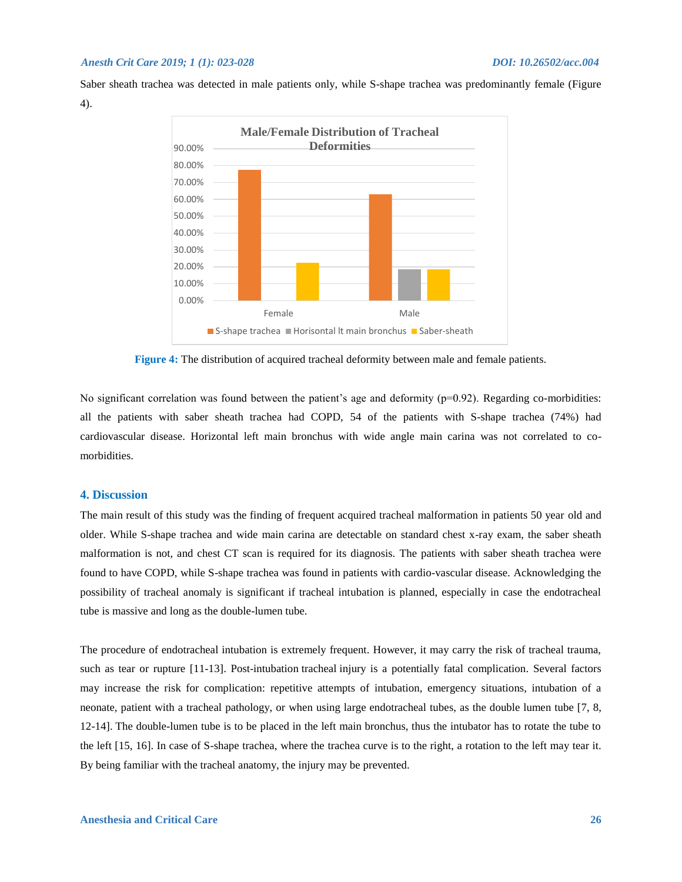Saber sheath trachea was detected in male patients only, while S-shape trachea was predominantly female (Figure 4).



**Figure 4:** The distribution of acquired tracheal deformity between male and female patients.

No significant correlation was found between the patient's age and deformity  $(p=0.92)$ . Regarding co-morbidities: all the patients with saber sheath trachea had COPD, 54 of the patients with S-shape trachea (74%) had cardiovascular disease. Horizontal left main bronchus with wide angle main carina was not correlated to comorbidities.

### **4. Discussion**

The main result of this study was the finding of frequent acquired tracheal malformation in patients 50 year old and older. While S-shape trachea and wide main carina are detectable on standard chest x-ray exam, the saber sheath malformation is not, and chest CT scan is required for its diagnosis. The patients with saber sheath trachea were found to have COPD, while S-shape trachea was found in patients with cardio-vascular disease. Acknowledging the possibility of tracheal anomaly is significant if tracheal intubation is planned, especially in case the endotracheal tube is massive and long as the double-lumen tube.

The procedure of endotracheal intubation is extremely frequent. However, it may carry the risk of tracheal trauma, such as tear or rupture [11-13]. Post-intubation tracheal injury is a potentially fatal complication. Several factors may increase the risk for complication: repetitive attempts of intubation, emergency situations, intubation of a neonate, patient with a tracheal pathology, or when using large endotracheal tubes, as the double lumen tube [7, 8, 12-14]. The double-lumen tube is to be placed in the left main bronchus, thus the intubator has to rotate the tube to the left [15, 16]. In case of S-shape trachea, where the trachea curve is to the right, a rotation to the left may tear it. By being familiar with the tracheal anatomy, the injury may be prevented.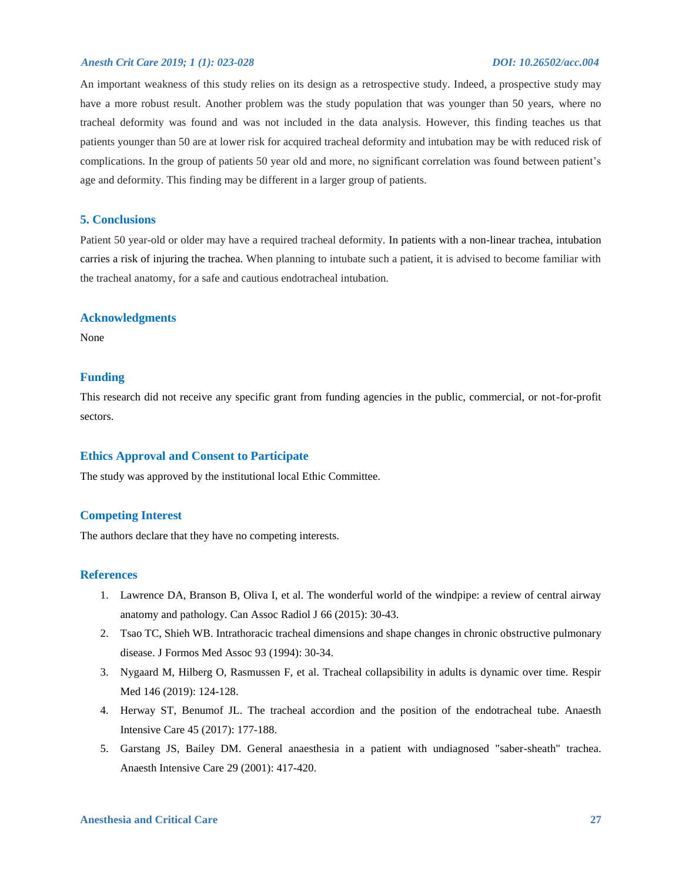#### *Anesth Crit Care 2019; 1 (1): 023-028 DOI: 10.26502/acc.004*

An important weakness of this study relies on its design as a retrospective study. Indeed, a prospective study may have a more robust result. Another problem was the study population that was younger than 50 years, where no tracheal deformity was found and was not included in the data analysis. However, this finding teaches us that patients younger than 50 are at lower risk for acquired tracheal deformity and intubation may be with reduced risk of complications. In the group of patients 50 year old and more, no significant correlation was found between patient's age and deformity. This finding may be different in a larger group of patients.

#### **5. Conclusions**

Patient 50 year-old or older may have a required tracheal deformity. In patients with a non-linear trachea, intubation carries a risk of injuring the trachea. When planning to intubate such a patient, it is advised to become familiar with the tracheal anatomy, for a safe and cautious endotracheal intubation.

#### **Acknowledgments**

None

#### **Funding**

This research did not receive any specific grant from funding agencies in the public, commercial, or not-for-profit sectors.

### **Ethics Approval and Consent to Participate**

The study was approved by the institutional local Ethic Committee.

#### **Competing Interest**

The authors declare that they have no competing interests.

### **References**

- 1. Lawrence DA, Branson B, Oliva I, et al. The wonderful world of the windpipe: a review of central airway anatomy and pathology. Can Assoc Radiol J 66 (2015): 30-43.
- 2. Tsao TC, Shieh WB. Intrathoracic tracheal dimensions and shape changes in chronic obstructive pulmonary disease. J Formos Med Assoc 93 (1994): 30-34.
- 3. Nygaard M, Hilberg O, Rasmussen F, et al. Tracheal collapsibility in adults is dynamic over time. Respir Med 146 (2019): 124-128.
- 4. Herway ST, Benumof JL. The tracheal accordion and the position of the endotracheal tube. Anaesth Intensive Care 45 (2017): 177-188.
- 5. Garstang JS, Bailey DM. General anaesthesia in a patient with undiagnosed "saber-sheath" trachea. Anaesth Intensive Care 29 (2001): 417-420.